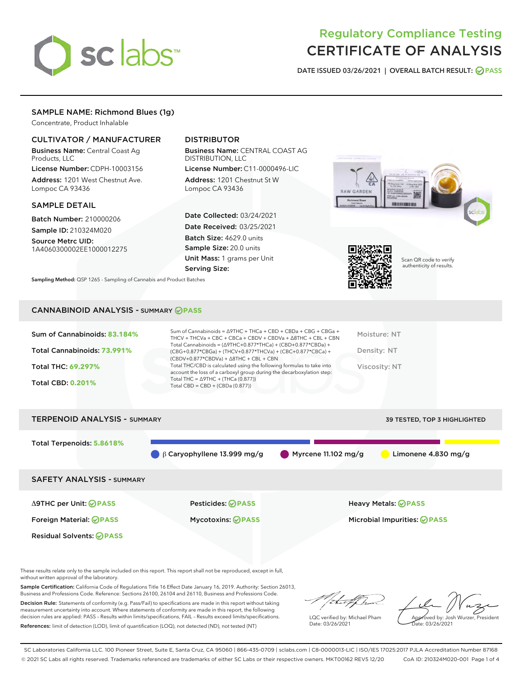# **sclabs**™

# Regulatory Compliance Testing CERTIFICATE OF ANALYSIS

DATE ISSUED 03/26/2021 | OVERALL BATCH RESULT: @ PASS

# SAMPLE NAME: Richmond Blues (1g)

Concentrate, Product Inhalable

# CULTIVATOR / MANUFACTURER

Business Name: Central Coast Ag Products, LLC

License Number: CDPH-10003156 Address: 1201 West Chestnut Ave. Lompoc CA 93436

#### SAMPLE DETAIL

Batch Number: 210000206 Sample ID: 210324M020

Source Metrc UID: 1A4060300002EE1000012275

# DISTRIBUTOR

Business Name: CENTRAL COAST AG DISTRIBUTION, LLC

License Number: C11-0000496-LIC Address: 1201 Chestnut St W Lompoc CA 93436

Date Collected: 03/24/2021 Date Received: 03/25/2021 Batch Size: 4629.0 units Sample Size: 20.0 units Unit Mass: 1 grams per Unit Serving Size:

Sampling Method: QSP 1265 - Sampling of Cannabis and Product Batches





Scan QR code to verify authenticity of results.

## CANNABINOID ANALYSIS - SUMMARY **PASS**

| Sum of Cannabinoids: 83.184% | Sum of Cannabinoids = Δ9THC + THCa + CBD + CBDa + CBG + CBGa +<br>THCV + THCVa + CBC + CBCa + CBDV + CBDVa + $\land$ 8THC + CBL + CBN                                                | Moisture: NT  |
|------------------------------|--------------------------------------------------------------------------------------------------------------------------------------------------------------------------------------|---------------|
| Total Cannabinoids: 73.991%  | Total Cannabinoids = $(\Delta$ 9THC+0.877*THCa) + (CBD+0.877*CBDa) +<br>(CBG+0.877*CBGa) + (THCV+0.877*THCVa) + (CBC+0.877*CBCa) +<br>$(CBDV+0.877*CBDVa) + \Delta 8THC + CBL + CBN$ | Density: NT   |
| Total THC: 69.297%           | Total THC/CBD is calculated using the following formulas to take into<br>account the loss of a carboxyl group during the decarboxylation step:                                       | Viscosity: NT |
| <b>Total CBD: 0.201%</b>     | Total THC = $\triangle$ 9THC + (THCa (0.877))<br>Total CBD = $CBD + (CBDa (0.877))$                                                                                                  |               |
|                              |                                                                                                                                                                                      |               |

TERPENOID ANALYSIS - SUMMARY 39 TESTED, TOP 3 HIGHLIGHTED Total Terpenoids: **5.8618%** β Caryophyllene 13.999 mg/g Myrcene 11.102 mg/g Limonene 4.830 mg/g SAFETY ANALYSIS - SUMMARY Δ9THC per Unit: **PASS** Pesticides: **PASS** Heavy Metals: **PASS** Foreign Material: **PASS** Mycotoxins: **PASS** Microbial Impurities: **PASS** Residual Solvents: **PASS** 

These results relate only to the sample included on this report. This report shall not be reproduced, except in full, without written approval of the laboratory.

Sample Certification: California Code of Regulations Title 16 Effect Date January 16, 2019. Authority: Section 26013, Business and Professions Code. Reference: Sections 26100, 26104 and 26110, Business and Professions Code.

Decision Rule: Statements of conformity (e.g. Pass/Fail) to specifications are made in this report without taking measurement uncertainty into account. Where statements of conformity are made in this report, the following decision rules are applied: PASS – Results within limits/specifications, FAIL – Results exceed limits/specifications. References: limit of detection (LOD), limit of quantification (LOQ), not detected (ND), not tested (NT)

that f

LQC verified by: Michael Pham Date: 03/26/2021

Approved by: Josh Wurzer, President ate: 03/26/2021

SC Laboratories California LLC. 100 Pioneer Street, Suite E, Santa Cruz, CA 95060 | 866-435-0709 | sclabs.com | C8-0000013-LIC | ISO/IES 17025:2017 PJLA Accreditation Number 87168 © 2021 SC Labs all rights reserved. Trademarks referenced are trademarks of either SC Labs or their respective owners. MKT00162 REV5 12/20 CoA ID: 210324M020-001 Page 1 of 4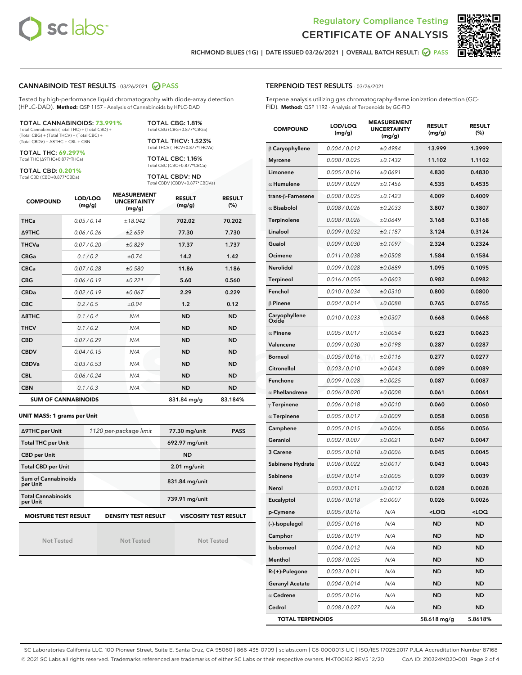



RICHMOND BLUES (1G) | DATE ISSUED 03/26/2021 | OVERALL BATCH RESULT: **O PASS** 

#### CANNABINOID TEST RESULTS - 03/26/2021 @ PASS

Tested by high-performance liquid chromatography with diode-array detection (HPLC-DAD). **Method:** QSP 1157 - Analysis of Cannabinoids by HPLC-DAD

#### TOTAL CANNABINOIDS: **73.991%**

Total Cannabinoids (Total THC) + (Total CBD) + (Total CBG) + (Total THCV) + (Total CBC) + (Total CBDV) + ∆8THC + CBL + CBN

TOTAL THC: **69.297%** Total THC (∆9THC+0.877\*THCa)

TOTAL CBD: **0.201%**

Total CBD (CBD+0.877\*CBDa)

TOTAL CBG: 1.81% Total CBG (CBG+0.877\*CBGa)

TOTAL THCV: 1.523% Total THCV (THCV+0.877\*THCVa)

TOTAL CBC: 1.16% Total CBC (CBC+0.877\*CBCa)

TOTAL CBDV: ND Total CBDV (CBDV+0.877\*CBDVa)

| <b>COMPOUND</b> | LOD/LOQ<br>(mg/g)          | <b>MEASUREMENT</b><br><b>UNCERTAINTY</b><br>(mg/g) | <b>RESULT</b><br>(mg/g) | <b>RESULT</b><br>(%) |
|-----------------|----------------------------|----------------------------------------------------|-------------------------|----------------------|
| <b>THCa</b>     | 0.05/0.14                  | ±18.042                                            | 702.02                  | 70.202               |
| <b>A9THC</b>    | 0.06/0.26                  | ±2.659                                             | 77.30                   | 7.730                |
| <b>THCVa</b>    | 0.07 / 0.20                | ±0.829                                             | 17.37                   | 1.737                |
| <b>CBGa</b>     | 0.1/0.2                    | ±0.74                                              | 14.2                    | 1.42                 |
| <b>CBCa</b>     | 0.07 / 0.28                | ±0.580                                             | 11.86                   | 1.186                |
| <b>CBG</b>      | 0.06/0.19                  | ±0.221                                             | 5.60                    | 0.560                |
| <b>CBDa</b>     | 0.02/0.19                  | ±0.067                                             | 2.29                    | 0.229                |
| <b>CBC</b>      | 0.2 / 0.5                  | ±0.04                                              | 1.2                     | 0.12                 |
| A8THC           | 0.1 / 0.4                  | N/A                                                | <b>ND</b>               | <b>ND</b>            |
| <b>THCV</b>     | 0.1/0.2                    | N/A                                                | <b>ND</b>               | <b>ND</b>            |
| <b>CBD</b>      | 0.07/0.29                  | N/A                                                | <b>ND</b>               | <b>ND</b>            |
| <b>CBDV</b>     | 0.04 / 0.15                | N/A                                                | <b>ND</b>               | <b>ND</b>            |
| <b>CBDVa</b>    | 0.03/0.53                  | N/A                                                | <b>ND</b>               | <b>ND</b>            |
| <b>CBL</b>      | 0.06 / 0.24                | N/A                                                | <b>ND</b>               | <b>ND</b>            |
| <b>CBN</b>      | 0.1/0.3                    | N/A                                                | <b>ND</b>               | <b>ND</b>            |
|                 | <b>SUM OF CANNABINOIDS</b> |                                                    | 831.84 mg/g             | 83.184%              |

#### **UNIT MASS: 1 grams per Unit**

| ∆9THC per Unit                        | 1120 per-package limit | 77.30 mg/unit<br><b>PASS</b> |  |
|---------------------------------------|------------------------|------------------------------|--|
| <b>Total THC per Unit</b>             |                        | 692.97 mg/unit               |  |
| <b>CBD per Unit</b>                   |                        | <b>ND</b>                    |  |
| <b>Total CBD per Unit</b>             |                        | $2.01$ mg/unit               |  |
| Sum of Cannabinoids<br>per Unit       |                        | 831.84 mg/unit               |  |
| <b>Total Cannabinoids</b><br>per Unit |                        | 739.91 mg/unit               |  |
| <b>MOISTURE TEST RESULT</b>           | DENSITY TEST RESULT    | <b>VISCOSITY TEST RESULT</b> |  |

Not Tested

**MOISTURE TEST RESULT**

Not Tested

Not Tested

#### TERPENOID TEST RESULTS - 03/26/2021

Terpene analysis utilizing gas chromatography-flame ionization detection (GC-FID). **Method:** QSP 1192 - Analysis of Terpenoids by GC-FID

| <b>COMPOUND</b>         | LOD/LOQ<br>(mg/g) | <b>MEASUREMENT</b><br><b>UNCERTAINTY</b><br>(mg/g) | <b>RESULT</b><br>(mg/g)                         | <b>RESULT</b><br>$(\%)$ |
|-------------------------|-------------------|----------------------------------------------------|-------------------------------------------------|-------------------------|
| B Caryophyllene         | 0.004 / 0.012     | ±0.4984                                            | 13.999                                          | 1.3999                  |
| <b>Myrcene</b>          | 0.008 / 0.025     | ±0.1432                                            | 11.102                                          | 1.1102                  |
| Limonene                | 0.005 / 0.016     | ±0.0691                                            | 4.830                                           | 0.4830                  |
| $\alpha$ Humulene       | 0.009 / 0.029     | ±0.1456                                            | 4.535                                           | 0.4535                  |
| trans-β-Farnesene       | 0.008 / 0.025     | ±0.1423                                            | 4.009                                           | 0.4009                  |
| $\alpha$ Bisabolol      | 0.008 / 0.026     | ±0.2033                                            | 3.807                                           | 0.3807                  |
| Terpinolene             | 0.008 / 0.026     | ±0.0649                                            | 3.168                                           | 0.3168                  |
| Linalool                | 0.009 / 0.032     | ±0.1187                                            | 3.124                                           | 0.3124                  |
| Guaiol                  | 0.009 / 0.030     | ±0.1097                                            | 2.324                                           | 0.2324                  |
| Ocimene                 | 0.011 / 0.038     | ±0.0508                                            | 1.584                                           | 0.1584                  |
| Nerolidol               | 0.009 / 0.028     | ±0.0689                                            | 1.095                                           | 0.1095                  |
| Terpineol               | 0.016 / 0.055     | ±0.0603                                            | 0.982                                           | 0.0982                  |
| Fenchol                 | 0.010 / 0.034     | ±0.0310                                            | 0.800                                           | 0.0800                  |
| $\beta$ Pinene          | 0.004 / 0.014     | ±0.0088                                            | 0.765                                           | 0.0765                  |
| Caryophyllene<br>Oxide  | 0.010 / 0.033     | ±0.0307                                            | 0.668                                           | 0.0668                  |
| $\alpha$ Pinene         | 0.005 / 0.017     | ±0.0054                                            | 0.623                                           | 0.0623                  |
| Valencene               | 0.009 / 0.030     | ±0.0198                                            | 0.287                                           | 0.0287                  |
| <b>Borneol</b>          | 0.005 / 0.016     | ±0.0116                                            | 0.277                                           | 0.0277                  |
| Citronellol             | 0.003 / 0.010     | ±0.0043                                            | 0.089                                           | 0.0089                  |
| Fenchone                | 0.009 / 0.028     | ±0.0025                                            | 0.087                                           | 0.0087                  |
| $\alpha$ Phellandrene   | 0.006 / 0.020     | ±0.0008                                            | 0.061                                           | 0.0061                  |
| $\gamma$ Terpinene      | 0.006 / 0.018     | ±0.0010                                            | 0.060                                           | 0.0060                  |
| $\alpha$ Terpinene      | 0.005 / 0.017     | ±0.0009                                            | 0.058                                           | 0.0058                  |
| Camphene                | 0.005 / 0.015     | ±0.0006                                            | 0.056                                           | 0.0056                  |
| Geraniol                | 0.002 / 0.007     | ±0.0021                                            | 0.047                                           | 0.0047                  |
| 3 Carene                | 0.005 / 0.018     | ±0.0006                                            | 0.045                                           | 0.0045                  |
| Sabinene Hydrate        | 0.006 / 0.022     | ±0.0017                                            | 0.043                                           | 0.0043                  |
| Sabinene                | 0.004 / 0.014     | ±0.0005                                            | 0.039                                           | 0.0039                  |
| Nerol                   | 0.003 / 0.011     | ±0.0012                                            | 0.028                                           | 0.0028                  |
| Eucalyptol              | 0.006 / 0.018     | ±0.0007                                            | 0.026                                           | 0.0026                  |
| p-Cymene                | 0.005 / 0.016     | N/A                                                | <loq< th=""><th><loq< th=""></loq<></th></loq<> | <loq< th=""></loq<>     |
| (-)-Isopulegol          | 0.005 / 0.016     | N/A                                                | ND                                              | <b>ND</b>               |
| Camphor                 | 0.006 / 0.019     | N/A                                                | ND                                              | ND                      |
| Isoborneol              | 0.004 / 0.012     | N/A                                                | ND                                              | <b>ND</b>               |
| Menthol                 | 0.008 / 0.025     | N/A                                                | ND                                              | ND                      |
| R-(+)-Pulegone          | 0.003 / 0.011     | N/A                                                | ND                                              | ND                      |
| <b>Geranyl Acetate</b>  | 0.004 / 0.014     | N/A                                                | ND                                              | ND                      |
| $\alpha$ Cedrene        | 0.005 / 0.016     | N/A                                                | ND                                              | ND                      |
| Cedrol                  | 0.008 / 0.027     | N/A                                                | ND                                              | <b>ND</b>               |
| <b>TOTAL TERPENOIDS</b> |                   |                                                    | 58.618 mg/g                                     | 5.8618%                 |

SC Laboratories California LLC. 100 Pioneer Street, Suite E, Santa Cruz, CA 95060 | 866-435-0709 | sclabs.com | C8-0000013-LIC | ISO/IES 17025:2017 PJLA Accreditation Number 87168 © 2021 SC Labs all rights reserved. Trademarks referenced are trademarks of either SC Labs or their respective owners. MKT00162 REV5 12/20 CoA ID: 210324M020-001 Page 2 of 4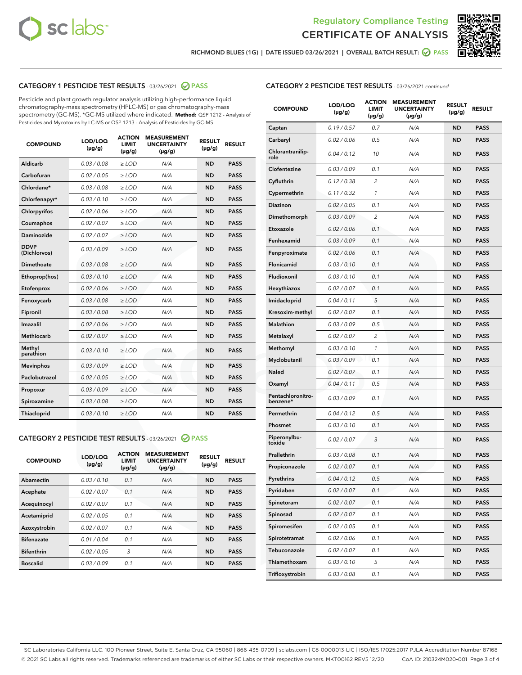



RICHMOND BLUES (1G) | DATE ISSUED 03/26/2021 | OVERALL BATCH RESULT:  $\bigcirc$  PASS

# CATEGORY 1 PESTICIDE TEST RESULTS - 03/26/2021 2 PASS

Pesticide and plant growth regulator analysis utilizing high-performance liquid chromatography-mass spectrometry (HPLC-MS) or gas chromatography-mass spectrometry (GC-MS). \*GC-MS utilized where indicated. **Method:** QSP 1212 - Analysis of Pesticides and Mycotoxins by LC-MS or QSP 1213 - Analysis of Pesticides by GC-MS

| <b>COMPOUND</b>             | LOD/LOQ<br>$(\mu g/g)$ | <b>ACTION</b><br><b>LIMIT</b><br>$(\mu q/q)$ | <b>MEASUREMENT</b><br><b>UNCERTAINTY</b><br>$(\mu g/g)$ | <b>RESULT</b><br>$(\mu g/g)$ | <b>RESULT</b> |
|-----------------------------|------------------------|----------------------------------------------|---------------------------------------------------------|------------------------------|---------------|
| Aldicarb                    | 0.03 / 0.08            | $\ge$ LOD                                    | N/A                                                     | <b>ND</b>                    | <b>PASS</b>   |
| Carbofuran                  | 0.02/0.05              | $>$ LOD                                      | N/A                                                     | <b>ND</b>                    | <b>PASS</b>   |
| Chlordane*                  | 0.03 / 0.08            | $\ge$ LOD                                    | N/A                                                     | <b>ND</b>                    | <b>PASS</b>   |
| Chlorfenapyr*               | 0.03/0.10              | $\ge$ LOD                                    | N/A                                                     | <b>ND</b>                    | <b>PASS</b>   |
| Chlorpyrifos                | 0.02 / 0.06            | $\ge$ LOD                                    | N/A                                                     | <b>ND</b>                    | <b>PASS</b>   |
| Coumaphos                   | 0.02 / 0.07            | $>$ LOD                                      | N/A                                                     | <b>ND</b>                    | <b>PASS</b>   |
| <b>Daminozide</b>           | 0.02 / 0.07            | $\ge$ LOD                                    | N/A                                                     | <b>ND</b>                    | <b>PASS</b>   |
| <b>DDVP</b><br>(Dichlorvos) | 0.03/0.09              | $\ge$ LOD                                    | N/A                                                     | <b>ND</b>                    | <b>PASS</b>   |
| <b>Dimethoate</b>           | 0.03 / 0.08            | $\ge$ LOD                                    | N/A                                                     | <b>ND</b>                    | <b>PASS</b>   |
| Ethoprop(hos)               | 0.03/0.10              | $\ge$ LOD                                    | N/A                                                     | <b>ND</b>                    | <b>PASS</b>   |
| Etofenprox                  | 0.02 / 0.06            | $\ge$ LOD                                    | N/A                                                     | <b>ND</b>                    | <b>PASS</b>   |
| Fenoxycarb                  | 0.03 / 0.08            | $\ge$ LOD                                    | N/A                                                     | <b>ND</b>                    | <b>PASS</b>   |
| Fipronil                    | 0.03/0.08              | $>$ LOD                                      | N/A                                                     | <b>ND</b>                    | <b>PASS</b>   |
| Imazalil                    | 0.02 / 0.06            | $\ge$ LOD                                    | N/A                                                     | <b>ND</b>                    | <b>PASS</b>   |
| Methiocarb                  | 0.02 / 0.07            | $\ge$ LOD                                    | N/A                                                     | <b>ND</b>                    | <b>PASS</b>   |
| Methyl<br>parathion         | 0.03/0.10              | $>$ LOD                                      | N/A                                                     | <b>ND</b>                    | <b>PASS</b>   |
| <b>Mevinphos</b>            | 0.03/0.09              | $>$ LOD                                      | N/A                                                     | <b>ND</b>                    | <b>PASS</b>   |
| Paclobutrazol               | 0.02 / 0.05            | $\ge$ LOD                                    | N/A                                                     | <b>ND</b>                    | <b>PASS</b>   |
| Propoxur                    | 0.03/0.09              | $\ge$ LOD                                    | N/A                                                     | <b>ND</b>                    | <b>PASS</b>   |
| Spiroxamine                 | 0.03 / 0.08            | $\ge$ LOD                                    | N/A                                                     | <b>ND</b>                    | <b>PASS</b>   |
| <b>Thiacloprid</b>          | 0.03/0.10              | $\ge$ LOD                                    | N/A                                                     | <b>ND</b>                    | <b>PASS</b>   |

# CATEGORY 2 PESTICIDE TEST RESULTS - 03/26/2021 @ PASS

| <b>COMPOUND</b>   | LOD/LOQ<br>$(\mu g/g)$ | <b>ACTION</b><br><b>LIMIT</b><br>$(\mu g/g)$ | <b>MEASUREMENT</b><br><b>UNCERTAINTY</b><br>$(\mu g/g)$ | <b>RESULT</b><br>$(\mu g/g)$ | <b>RESULT</b> |
|-------------------|------------------------|----------------------------------------------|---------------------------------------------------------|------------------------------|---------------|
| Abamectin         | 0.03/0.10              | 0.1                                          | N/A                                                     | <b>ND</b>                    | <b>PASS</b>   |
| Acephate          | 0.02/0.07              | 0.1                                          | N/A                                                     | <b>ND</b>                    | <b>PASS</b>   |
| Acequinocyl       | 0.02/0.07              | 0.1                                          | N/A                                                     | <b>ND</b>                    | <b>PASS</b>   |
| Acetamiprid       | 0.02/0.05              | 0.1                                          | N/A                                                     | <b>ND</b>                    | <b>PASS</b>   |
| Azoxystrobin      | 0.02/0.07              | 0.1                                          | N/A                                                     | <b>ND</b>                    | <b>PASS</b>   |
| <b>Bifenazate</b> | 0.01/0.04              | 0.1                                          | N/A                                                     | <b>ND</b>                    | <b>PASS</b>   |
| <b>Bifenthrin</b> | 0.02/0.05              | 3                                            | N/A                                                     | <b>ND</b>                    | <b>PASS</b>   |
| <b>Boscalid</b>   | 0.03/0.09              | 0.1                                          | N/A                                                     | <b>ND</b>                    | <b>PASS</b>   |

| <b>COMPOUND</b>               | <b>LOD/LOQ</b><br>$(\mu g/g)$ | <b>ACTION</b><br><b>LIMIT</b><br>$(\mu g/g)$ | <b>MEASUREMENT</b><br><b>UNCERTAINTY</b><br>(µg/g) | <b>RESULT</b><br>(µg/g) | <b>RESULT</b> |
|-------------------------------|-------------------------------|----------------------------------------------|----------------------------------------------------|-------------------------|---------------|
| Captan                        | 0.19/0.57                     | 0.7                                          | N/A                                                | <b>ND</b>               | <b>PASS</b>   |
| Carbaryl                      | 0.02 / 0.06                   | 0.5                                          | N/A                                                | ND                      | <b>PASS</b>   |
| Chlorantranilip-<br>role      | 0.04 / 0.12                   | 10                                           | N/A                                                | ND                      | <b>PASS</b>   |
| Clofentezine                  | 0.03/0.09                     | 0.1                                          | N/A                                                | ND                      | <b>PASS</b>   |
| Cyfluthrin                    | 0.12 / 0.38                   | $\overline{2}$                               | N/A                                                | ND                      | <b>PASS</b>   |
| Cypermethrin                  | 0.11 / 0.32                   | 1                                            | N/A                                                | ND                      | <b>PASS</b>   |
| <b>Diazinon</b>               | 0.02 / 0.05                   | 0.1                                          | N/A                                                | ND                      | PASS          |
| Dimethomorph                  | 0.03 / 0.09                   | 2                                            | N/A                                                | ND                      | <b>PASS</b>   |
| Etoxazole                     | 0.02 / 0.06                   | 0.1                                          | N/A                                                | ND                      | <b>PASS</b>   |
| Fenhexamid                    | 0.03 / 0.09                   | 0.1                                          | N/A                                                | ND                      | <b>PASS</b>   |
| Fenpyroximate                 | 0.02 / 0.06                   | 0.1                                          | N/A                                                | ND                      | <b>PASS</b>   |
| Flonicamid                    | 0.03 / 0.10                   | 0.1                                          | N/A                                                | ND                      | <b>PASS</b>   |
| Fludioxonil                   | 0.03/0.10                     | 0.1                                          | N/A                                                | ND                      | PASS          |
| Hexythiazox                   | 0.02 / 0.07                   | 0.1                                          | N/A                                                | ND                      | <b>PASS</b>   |
| Imidacloprid                  | 0.04 / 0.11                   | 5                                            | N/A                                                | ND                      | <b>PASS</b>   |
| Kresoxim-methyl               | 0.02 / 0.07                   | 0.1                                          | N/A                                                | ND                      | <b>PASS</b>   |
| <b>Malathion</b>              | 0.03 / 0.09                   | 0.5                                          | N/A                                                | ND                      | <b>PASS</b>   |
| Metalaxyl                     | 0.02 / 0.07                   | 2                                            | N/A                                                | ND                      | <b>PASS</b>   |
| Methomyl                      | 0.03 / 0.10                   | 1                                            | N/A                                                | ND                      | PASS          |
| Myclobutanil                  | 0.03 / 0.09                   | 0.1                                          | N/A                                                | ND                      | <b>PASS</b>   |
| Naled                         | 0.02 / 0.07                   | 0.1                                          | N/A                                                | ND                      | <b>PASS</b>   |
| Oxamyl                        | 0.04 / 0.11                   | 0.5                                          | N/A                                                | ND                      | PASS          |
| Pentachloronitro-<br>benzene* | 0.03 / 0.09                   | 0.1                                          | N/A                                                | ND                      | <b>PASS</b>   |
| Permethrin                    | 0.04 / 0.12                   | 0.5                                          | N/A                                                | ND                      | <b>PASS</b>   |
| Phosmet                       | 0.03/0.10                     | 0.1                                          | N/A                                                | ND                      | <b>PASS</b>   |
| Piperonylbu-<br>toxide        | 0.02 / 0.07                   | 3                                            | N/A                                                | ND                      | <b>PASS</b>   |
| Prallethrin                   | 0.03 / 0.08                   | 0.1                                          | N/A                                                | ND                      | <b>PASS</b>   |
| Propiconazole                 | 0.02 / 0.07                   | 0.1                                          | N/A                                                | ND                      | <b>PASS</b>   |
| Pyrethrins                    | 0.04 / 0.12                   | 0.5                                          | N/A                                                | ND                      | PASS          |
| Pyridaben                     | 0.02 / 0.07                   | 0.1                                          | N/A                                                | ND                      | PASS          |
| Spinetoram                    | 0.02 / 0.07                   | 0.1                                          | N/A                                                | ND                      | <b>PASS</b>   |
| Spinosad                      | 0.02 / 0.07                   | 0.1                                          | N/A                                                | ND                      | <b>PASS</b>   |
| Spiromesifen                  | 0.02 / 0.05                   | 0.1                                          | N/A                                                | ND                      | <b>PASS</b>   |
| Spirotetramat                 | 0.02 / 0.06                   | 0.1                                          | N/A                                                | ND                      | <b>PASS</b>   |
| Tebuconazole                  | 0.02 / 0.07                   | 0.1                                          | N/A                                                | ND                      | <b>PASS</b>   |
| Thiamethoxam                  | 0.03 / 0.10                   | 5                                            | N/A                                                | ND                      | <b>PASS</b>   |
| Trifloxystrobin               | 0.03 / 0.08                   | 0.1                                          | N/A                                                | ND                      | <b>PASS</b>   |